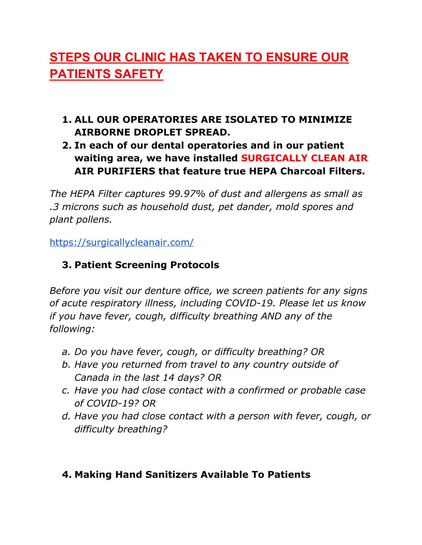# **STEPS OUR CLINIC HAS TAKEN TO ENSURE OUR PATIENTS SAFETY**

- **1. ALL OUR OPERATORIES ARE ISOLATED TO MINIMIZE AIRBORNE DROPLET SPREAD.**
- **2. In each of our dental operatories and in our patient waiting area, we have installe[d](https://www.guardiantechnologies.com/) SURGICALLY CLEAN AIR AIR PURIFIERS that feature true HEPA Charcoal Filters.**

*The HEPA Filter captures 99.97% of dust and allergens as small as .3 microns such as household dust, pet dander, mold spores and plant pollens.*

<https://surgicallycleanair.com/>

#### **3. Patient Screening Protocols**

*Before you visit our denture office, we screen patients for any signs of acute respiratory illness, including COVID-19. Please let us know if you have fever, cough, difficulty breathing AND any of the following:*

- *a. Do you have fever, cough, or difficulty breathing? OR*
- *b. Have you returned from travel to any country outside of Canada in the last 14 days? OR*
- *c. Have you had close contact with a confirmed or probable case of COVID-19? OR*
- *d. Have you had close contact with a person with fever, cough, or difficulty breathing?*

## **4. Making Hand Sanitizers Available To Patients**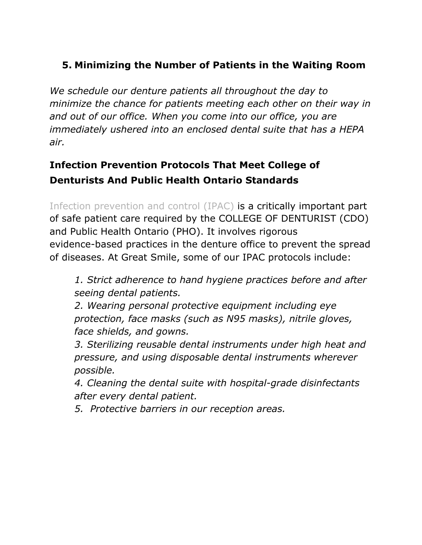### **5. Minimizing the Number of Patients in the Waiting Room**

*We schedule our denture patients all throughout the day to minimize the chance for patients meeting each other on their way in and out of our office. When you come into our office, you are immediately ushered into an enclosed dental suite that has a HEPA air.*

## **Infection Prevention Protocols That Meet College of Denturists And Public Health Ontario Standards**

[Infection prevention and control \(IPAC\)](https://www.publichealthontario.ca/en/health-topics/infection-prevention-control) is a critically important part of safe patient care required by the COLLEGE OF DENTURIST (CDO) and Public Health Ontario (PHO). It involves rigorous evidence-based practices in the denture office to prevent the spread of diseases. At Great Smile, some of our IPAC protocols include:

*1. Strict adherence to hand hygiene practices before and after seeing dental patients.*

*2. Wearing personal protective equipment including eye protection, face masks (such as N95 masks), nitrile gloves, face shields, and gowns.*

*3. Sterilizing reusable dental instruments under high heat and pressure, and using disposable dental instruments wherever possible.*

*4. Cleaning the dental suite with hospital-grade disinfectants after every dental patient.*

*5. Protective barriers in our reception areas.*